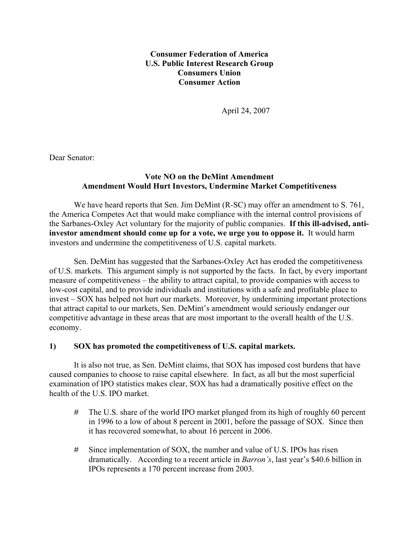**Consumer Federation of America U.S. Public Interest Research Group Consumers Union Consumer Action**

April 24, 2007

Dear Senator:

## **Vote NO on the DeMint Amendment Amendment Would Hurt Investors, Undermine Market Competitiveness**

 We have heard reports that Sen. Jim DeMint (R-SC) may offer an amendment to S. 761, the America Competes Act that would make compliance with the internal control provisions of the Sarbanes-Oxley Act voluntary for the majority of public companies. **If this ill-advised, antiinvestor amendment should come up for a vote, we urge you to oppose it.** It would harm investors and undermine the competitiveness of U.S. capital markets.

 Sen. DeMint has suggested that the Sarbanes-Oxley Act has eroded the competitiveness of U.S. markets. This argument simply is not supported by the facts. In fact, by every important measure of competitiveness – the ability to attract capital, to provide companies with access to low-cost capital, and to provide individuals and institutions with a safe and profitable place to invest – SOX has helped not hurt our markets. Moreover, by undermining important protections that attract capital to our markets, Sen. DeMint's amendment would seriously endanger our competitive advantage in these areas that are most important to the overall health of the U.S. economy.

## **1) SOX has promoted the competitiveness of U.S. capital markets.**

 It is also not true, as Sen. DeMint claims, that SOX has imposed cost burdens that have caused companies to choose to raise capital elsewhere. In fact, as all but the most superficial examination of IPO statistics makes clear, SOX has had a dramatically positive effect on the health of the U.S. IPO market.

- # The U.S. share of the world IPO market plunged from its high of roughly 60 percent in 1996 to a low of about 8 percent in 2001, before the passage of SOX. Since then it has recovered somewhat, to about 16 percent in 2006.
- # Since implementation of SOX, the number and value of U.S. IPOs has risen dramatically. According to a recent article in *Barron's*, last year's \$40.6 billion in IPOs represents a 170 percent increase from 2003.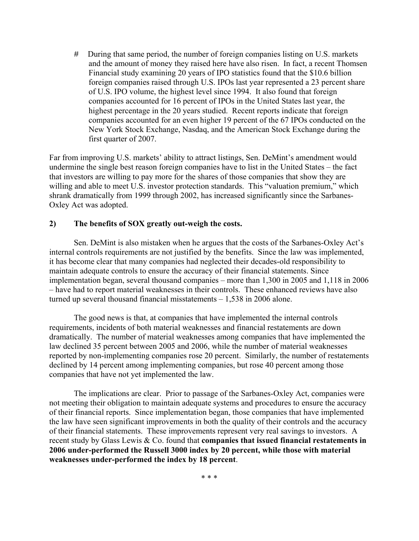# During that same period, the number of foreign companies listing on U.S. markets and the amount of money they raised here have also risen. In fact, a recent Thomsen Financial study examining 20 years of IPO statistics found that the \$10.6 billion foreign companies raised through U.S. IPOs last year represented a 23 percent share of U.S. IPO volume, the highest level since 1994. It also found that foreign companies accounted for 16 percent of IPOs in the United States last year, the highest percentage in the 20 years studied. Recent reports indicate that foreign companies accounted for an even higher 19 percent of the 67 IPOs conducted on the New York Stock Exchange, Nasdaq, and the American Stock Exchange during the first quarter of 2007.

Far from improving U.S. markets' ability to attract listings, Sen. DeMint's amendment would undermine the single best reason foreign companies have to list in the United States – the fact that investors are willing to pay more for the shares of those companies that show they are willing and able to meet U.S. investor protection standards. This "valuation premium," which shrank dramatically from 1999 through 2002, has increased significantly since the Sarbanes-Oxley Act was adopted.

## **2) The benefits of SOX greatly out-weigh the costs.**

 Sen. DeMint is also mistaken when he argues that the costs of the Sarbanes-Oxley Act's internal controls requirements are not justified by the benefits. Since the law was implemented, it has become clear that many companies had neglected their decades-old responsibility to maintain adequate controls to ensure the accuracy of their financial statements. Since implementation began, several thousand companies – more than 1,300 in 2005 and 1,118 in 2006 – have had to report material weaknesses in their controls. These enhanced reviews have also turned up several thousand financial misstatements – 1,538 in 2006 alone.

 The good news is that, at companies that have implemented the internal controls requirements, incidents of both material weaknesses and financial restatements are down dramatically. The number of material weaknesses among companies that have implemented the law declined 35 percent between 2005 and 2006, while the number of material weaknesses reported by non-implementing companies rose 20 percent. Similarly, the number of restatements declined by 14 percent among implementing companies, but rose 40 percent among those companies that have not yet implemented the law.

 The implications are clear. Prior to passage of the Sarbanes-Oxley Act, companies were not meeting their obligation to maintain adequate systems and procedures to ensure the accuracy of their financial reports. Since implementation began, those companies that have implemented the law have seen significant improvements in both the quality of their controls and the accuracy of their financial statements. These improvements represent very real savings to investors. A recent study by Glass Lewis & Co. found that **companies that issued financial restatements in 2006 under-performed the Russell 3000 index by 20 percent, while those with material weaknesses under-performed the index by 18 percent**.

\* \* \*